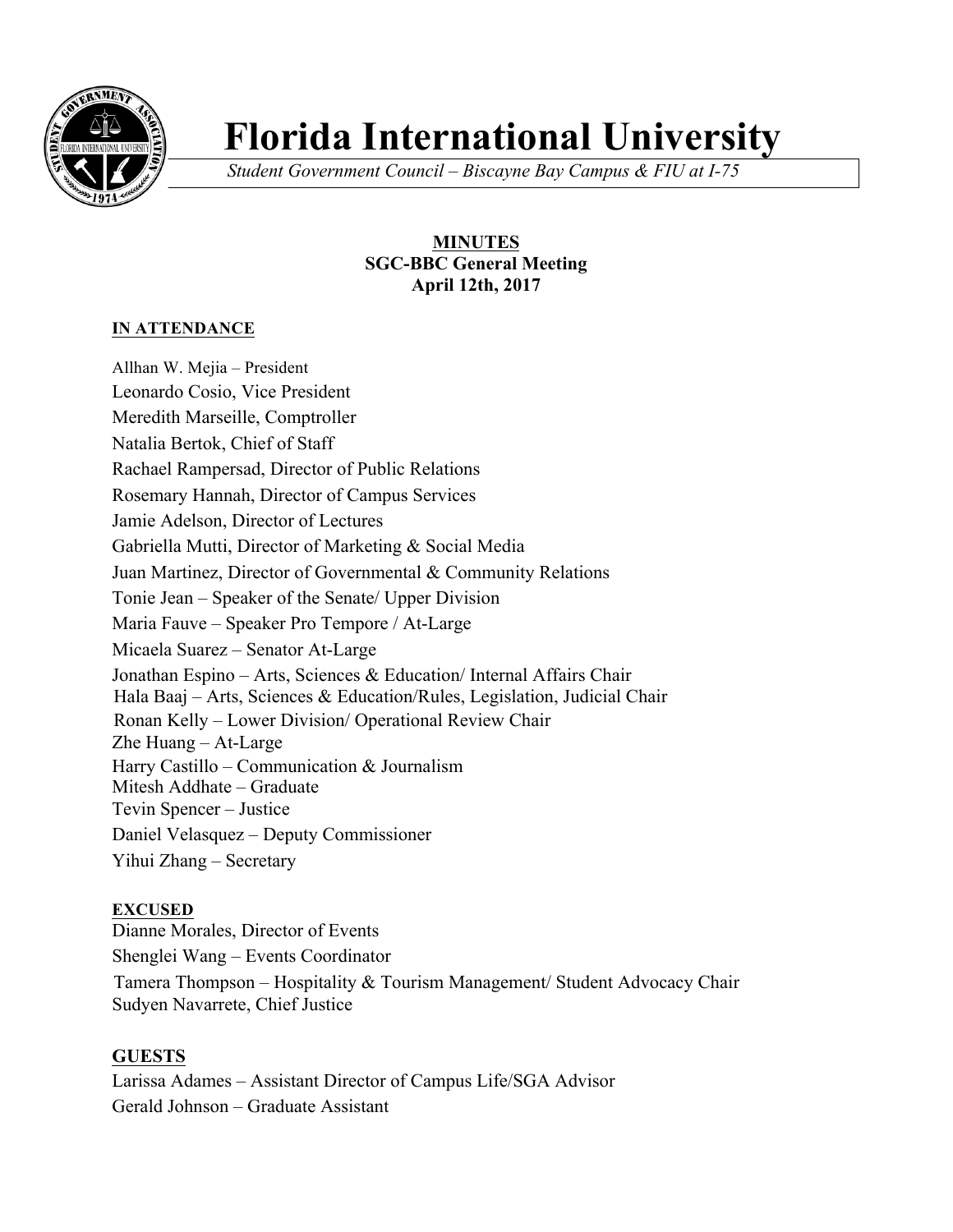

# **Florida International University**

*Student Government Council – Biscayne Bay Campus & FIU at I-75*

# **MINUTES SGC-BBC General Meeting April 12th, 2017**

# **IN ATTENDANCE**

Allhan W. Mejia – President Leonardo Cosio, Vice President Meredith Marseille, Comptroller Natalia Bertok, Chief of Staff Rachael Rampersad, Director of Public Relations Rosemary Hannah, Director of Campus Services Jamie Adelson, Director of Lectures Gabriella Mutti, Director of Marketing & Social Media Juan Martinez, Director of Governmental & Community Relations Tonie Jean – Speaker of the Senate/ Upper Division Maria Fauve – Speaker Pro Tempore / At-Large Micaela Suarez – Senator At-Large Jonathan Espino – Arts, Sciences & Education/ Internal Affairs Chair Hala Baaj – Arts, Sciences & Education/Rules, Legislation, Judicial Chair Ronan Kelly – Lower Division/ Operational Review Chair Zhe Huang – At-Large Harry Castillo – Communication & Journalism Mitesh Addhate – Graduate Tevin Spencer – Justice Daniel Velasquez – Deputy Commissioner Yihui Zhang – Secretary

#### **EXCUSED**

Dianne Morales, Director of Events Shenglei Wang – Events Coordinator Tamera Thompson – Hospitality & Tourism Management/ Student Advocacy Chair Sudyen Navarrete, Chief Justice

# **GUESTS**

Larissa Adames – Assistant Director of Campus Life/SGA Advisor Gerald Johnson – Graduate Assistant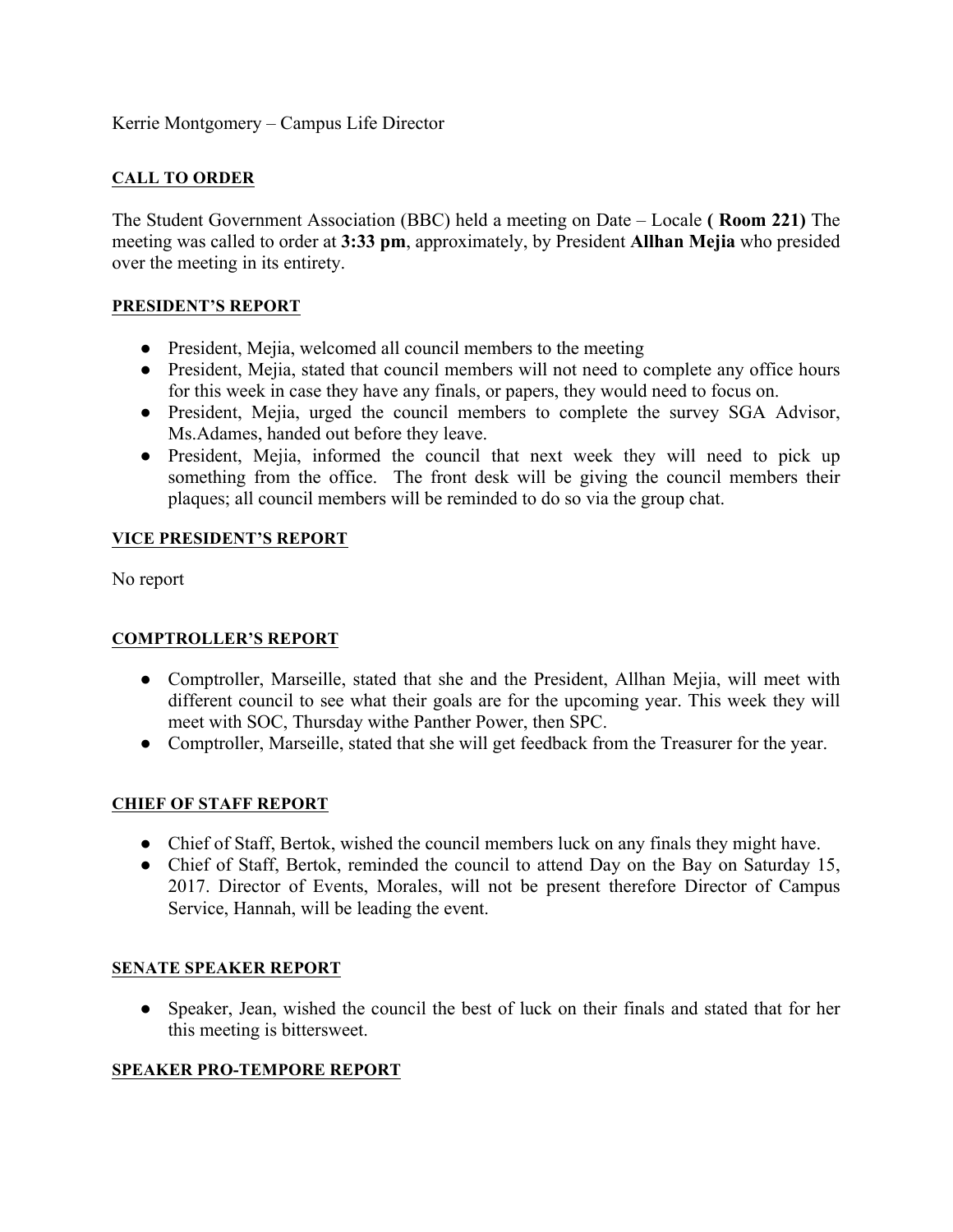## Kerrie Montgomery – Campus Life Director

## **CALL TO ORDER**

The Student Government Association (BBC) held a meeting on Date – Locale **( Room 221)** The meeting was called to order at **3:33 pm**, approximately, by President **Allhan Mejia** who presided over the meeting in its entirety.

#### **PRESIDENT'S REPORT**

- President, Mejia, welcomed all council members to the meeting
- President, Mejia, stated that council members will not need to complete any office hours for this week in case they have any finals, or papers, they would need to focus on.
- President, Mejia, urged the council members to complete the survey SGA Advisor, Ms.Adames, handed out before they leave.
- President, Mejia, informed the council that next week they will need to pick up something from the office. The front desk will be giving the council members their plaques; all council members will be reminded to do so via the group chat.

#### **VICE PRESIDENT'S REPORT**

No report

#### **COMPTROLLER'S REPORT**

- Comptroller, Marseille, stated that she and the President, Allhan Mejia, will meet with different council to see what their goals are for the upcoming year. This week they will meet with SOC, Thursday withe Panther Power, then SPC.
- Comptroller, Marseille, stated that she will get feedback from the Treasurer for the year.

#### **CHIEF OF STAFF REPORT**

- Chief of Staff, Bertok, wished the council members luck on any finals they might have.
- Chief of Staff, Bertok, reminded the council to attend Day on the Bay on Saturday 15, 2017. Director of Events, Morales, will not be present therefore Director of Campus Service, Hannah, will be leading the event.

#### **SENATE SPEAKER REPORT**

• Speaker, Jean, wished the council the best of luck on their finals and stated that for her this meeting is bittersweet.

#### **SPEAKER PRO-TEMPORE REPORT**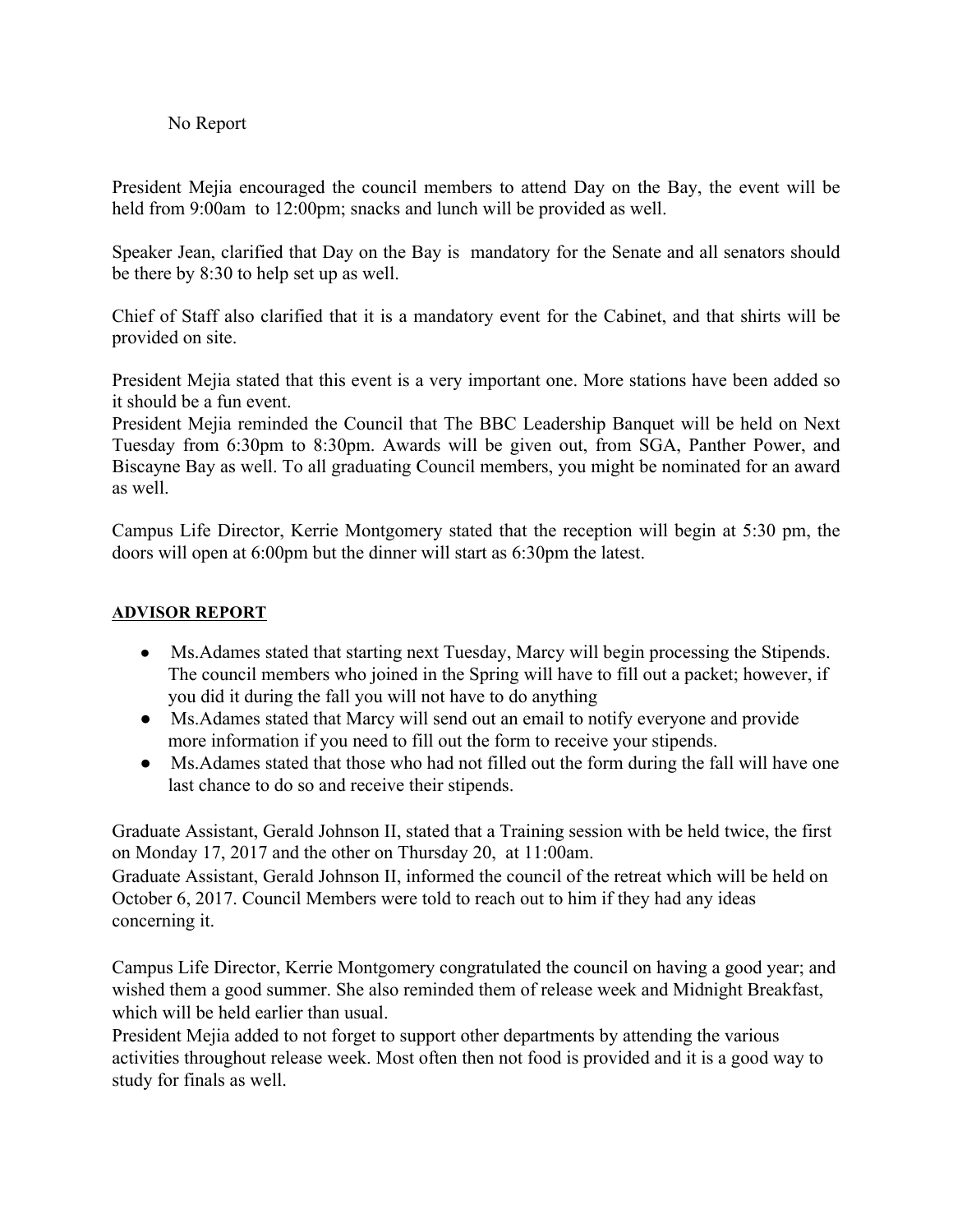## No Report

President Mejia encouraged the council members to attend Day on the Bay, the event will be held from 9:00am to 12:00pm; snacks and lunch will be provided as well.

Speaker Jean, clarified that Day on the Bay is mandatory for the Senate and all senators should be there by 8:30 to help set up as well.

Chief of Staff also clarified that it is a mandatory event for the Cabinet, and that shirts will be provided on site.

President Mejia stated that this event is a very important one. More stations have been added so it should be a fun event.

President Mejia reminded the Council that The BBC Leadership Banquet will be held on Next Tuesday from 6:30pm to 8:30pm. Awards will be given out, from SGA, Panther Power, and Biscayne Bay as well. To all graduating Council members, you might be nominated for an award as well.

Campus Life Director, Kerrie Montgomery stated that the reception will begin at 5:30 pm, the doors will open at 6:00pm but the dinner will start as 6:30pm the latest.

#### **ADVISOR REPORT**

- Ms.Adames stated that starting next Tuesday, Marcy will begin processing the Stipends. The council members who joined in the Spring will have to fill out a packet; however, if you did it during the fall you will not have to do anything
- Ms.Adames stated that Marcy will send out an email to notify everyone and provide more information if you need to fill out the form to receive your stipends.
- Ms.Adames stated that those who had not filled out the form during the fall will have one last chance to do so and receive their stipends.

Graduate Assistant, Gerald Johnson II, stated that a Training session with be held twice, the first on Monday 17, 2017 and the other on Thursday 20, at 11:00am.

Graduate Assistant, Gerald Johnson II, informed the council of the retreat which will be held on October 6, 2017. Council Members were told to reach out to him if they had any ideas concerning it.

Campus Life Director, Kerrie Montgomery congratulated the council on having a good year; and wished them a good summer. She also reminded them of release week and Midnight Breakfast, which will be held earlier than usual.

President Mejia added to not forget to support other departments by attending the various activities throughout release week. Most often then not food is provided and it is a good way to study for finals as well.